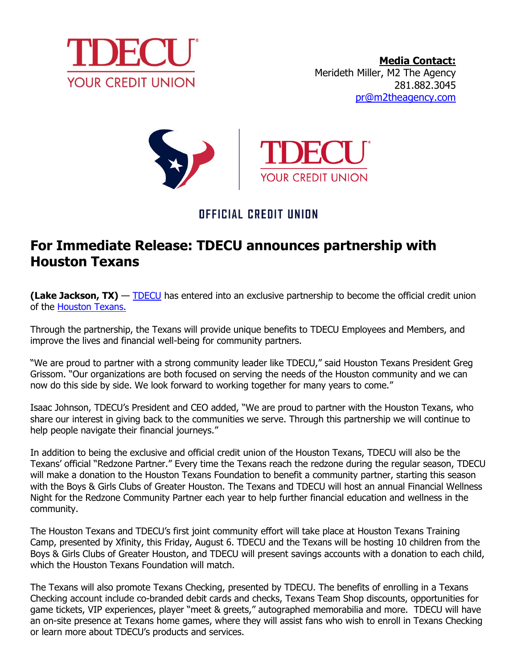



## OFFICIAL CREDIT UNION

## **For Immediate Release: TDECU announces partnership with Houston Texans**

**(Lake Jackson, TX)** — [TDECU](https://www.tdecu.org/) has entered into an exclusive partnership to become the official credit union of the [Houston Texans.](https://www.houstontexans.com/) 

Through the partnership, the Texans will provide unique benefits to TDECU Employees and Members, and improve the lives and financial well-being for community partners.

"We are proud to partner with a strong community leader like TDECU," said Houston Texans President Greg Grissom. "Our organizations are both focused on serving the needs of the Houston community and we can now do this side by side. We look forward to working together for many years to come."

Isaac Johnson, TDECU's President and CEO added, "We are proud to partner with the Houston Texans, who share our interest in giving back to the communities we serve. Through this partnership we will continue to help people navigate their financial journeys."

In addition to being the exclusive and official credit union of the Houston Texans, TDECU will also be the Texans' official "Redzone Partner." Every time the Texans reach the redzone during the regular season, TDECU will make a donation to the Houston Texans Foundation to benefit a community partner, starting this season with the Boys & Girls Clubs of Greater Houston. The Texans and TDECU will host an annual Financial Wellness Night for the Redzone Community Partner each year to help further financial education and wellness in the community.

The Houston Texans and TDECU's first joint community effort will take place at Houston Texans Training Camp, presented by Xfinity, this Friday, August 6. TDECU and the Texans will be hosting 10 children from the Boys & Girls Clubs of Greater Houston, and TDECU will present savings accounts with a donation to each child, which the Houston Texans Foundation will match.

The Texans will also promote Texans Checking, presented by TDECU. The benefits of enrolling in a Texans Checking account include co-branded debit cards and checks, Texans Team Shop discounts, opportunities for game tickets, VIP experiences, player "meet & greets," autographed memorabilia and more. TDECU will have an on-site presence at Texans home games, where they will assist fans who wish to enroll in Texans Checking or learn more about TDECU's products and services.